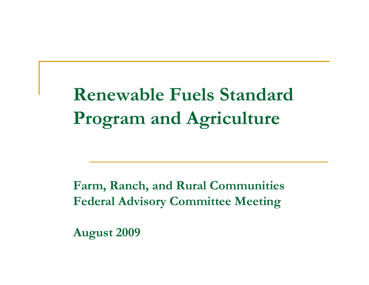# **Renewable Fuels Standard Program and Agriculture**

**Farm, Ranch, and Rural Communities Federal Advisory Committee Meeting**

**August 2009**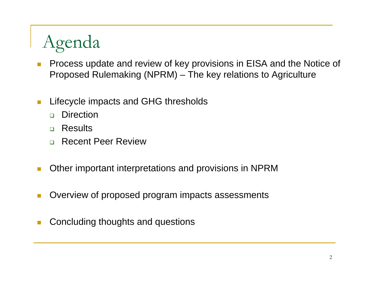# Agenda

- П Process update and review of key provisions in EISA and the Notice of Proposed Rulemaking (NPRM) – The key relations to Agriculture
- T. Lifecycle impacts and GHG thresholds
	- $\Box$ **Direction**
	- □ Results
	- $\Box$ Recent Peer Review
- Other important interpretations and provisions in NPRM
- П Overview of proposed program impacts assessments
- Concluding thoughts and questions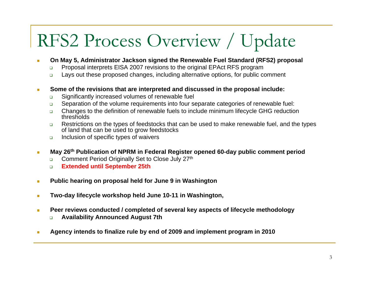# RFS2 Process Overview / Update

- $\overline{\phantom{a}}$  **On May 5, Administrator Jackson signed the Renewable Fuel Standard (RFS2) proposal**
	- $\Box$ Proposal interprets EISA 2007 revisions to the original EPAct RFS program
	- $\Box$ Lays out these proposed changes, including alternative options, for public comment
- **Some of the revisions that are interpreted and discussed in the proposal include:** п
	- $\Box$ Significantly increased volumes of renewable fuel
	- $\Box$ Separation of the volume requirements into four separate categories of renewable fuel:
	- $\Box$  Changes to the definition of renewable fuels to include minimum lifecycle GHG reduction thresholds
	- $\Box$  Restrictions on the types of feedstocks that can be used to make renewable fuel, and the types of land that can be used to grow feedstocks
	- $\Box$ Inclusion of specific types of waivers
- **May 26th Publication of NPRM in Federal Register opened 60-day public comment period**  Ľ,
	- $\Box$ Comment Period Originally Set to Close July 27th
	- $\Box$ **Extended until September 25th**
- **Public hearing on proposal held for June 9 in Washington** п
- **Two-day lifecycle workshop held June 10-11 in Washington,**   $\blacksquare$
- **Peer reviews conducted / completed of several key aspects of lifecycle methodology**   $\mathbf{r}$ 
	- $\Box$ **Availability Announced August 7th**
- **Agency intends to finalize rule by end of 2009 and implement program in 2010**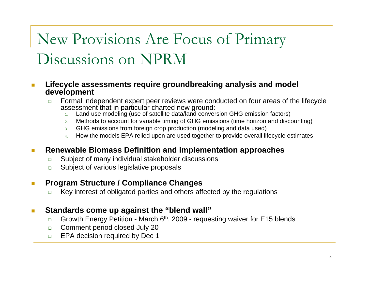## New Provisions Are Focus of Primary Discussions on NPRM

### **Lifecycle assessments require groundbreaking analysis and model development**

- $\Box$  Formal independent expert peer reviews were conducted on four areas of the lifecycle assessment that in particular charted new ground:
	- 1. Land use modeling (use of satellite data/land conversion GHG emission factors)
	- 2. Methods to account for variable timing of GHG emissions (time horizon and discounting)
	- 3. GHG emissions from foreign crop production (modeling and data used)
	- 4. How the models EPA relied upon are used together to provide overall lifecycle estimates

### **Renewable Biomass Definition and implementation approaches**

- $\Box$ Subject of many individual stakeholder discussions
- $\Box$ Subject of various legislative proposals

### **Program Structure / Compliance Changes**

 $\Box$ Key interest of obligated parties and others affected by the regulations

### **Standards come up against the "blend wall"**

- $\Box$ Growth Energy Petition - March  $6<sup>th</sup>$ , 2009 - requesting waiver for E15 blends
- $\Box$ Comment period closed July 20
- $\Box$ EPA decision required by Dec 1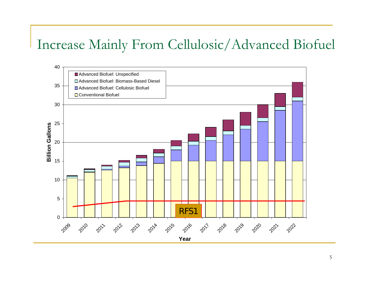## Increase Mainly From Cellulosic/Advanced Biofuel

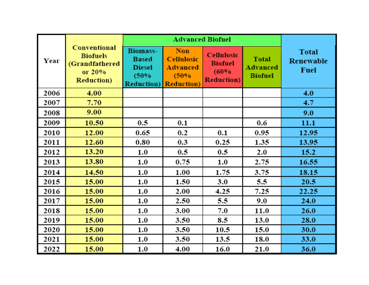| Year | Conventional<br><b>Biofuels</b><br>(Grandfathered<br>or 20%<br><b>Reduction</b> ) | <b>Advanced Biofuel</b>                                                        |                                                                           |                                                                   |                                                   |                                                 |
|------|-----------------------------------------------------------------------------------|--------------------------------------------------------------------------------|---------------------------------------------------------------------------|-------------------------------------------------------------------|---------------------------------------------------|-------------------------------------------------|
|      |                                                                                   | <b>Biomass-</b><br><b>Based</b><br><b>Diesel</b><br>(50%<br><b>Reduction</b> ) | <b>Non</b><br><b>Cellulosic</b><br>Advanced<br>(50%<br><b>Reduction</b> ) | <b>Cellulosic</b><br><b>Biofuel</b><br>(60%<br><b>Reduction</b> ) | <b>Total</b><br><b>Advanced</b><br><b>Biofuel</b> | <b>Total</b><br><b>Renewable</b><br><b>Fuel</b> |
| 2006 | 4.00                                                                              |                                                                                |                                                                           |                                                                   |                                                   | 4.0                                             |
| 2007 | 7.70                                                                              |                                                                                |                                                                           |                                                                   |                                                   | 4.7                                             |
| 2008 | 9.00                                                                              |                                                                                |                                                                           |                                                                   |                                                   | 9.0                                             |
| 2009 | 10.50                                                                             | 0.5                                                                            | 0.1                                                                       |                                                                   | 0.6                                               | 11.1                                            |
| 2010 | 12.00                                                                             | 0.65                                                                           | 0.2                                                                       | 0.1                                                               | 0.95                                              | 12.95                                           |
| 2011 | 12.60                                                                             | 0.80                                                                           | 0.3                                                                       | 0.25                                                              | 1.35                                              | 13.95                                           |
| 2012 | 13.20                                                                             | 1.0                                                                            | 0.5                                                                       | 0.5                                                               | 2.0                                               | 15.2                                            |
| 2013 | 13.80                                                                             | 1.0                                                                            | 0.75                                                                      | $1.0\,$                                                           | 2.75                                              | 16.55                                           |
| 2014 | 14.50                                                                             | 1.0                                                                            | 1.00                                                                      | 1.75                                                              | 3.75                                              | 18.15                                           |
| 2015 | 15.00                                                                             | 1.0                                                                            | 1.50                                                                      | 3.0                                                               | 5.5                                               | 20.5                                            |
| 2016 | 15.00                                                                             | 1.0                                                                            | 2.00                                                                      | 4.25                                                              | 7.25                                              | 22.25                                           |
| 2017 | 15.00                                                                             | 1.0                                                                            | 2.50                                                                      | 5.5                                                               | 9.0                                               | 24.0                                            |
| 2018 | 15.00                                                                             | 1.0                                                                            | 3.00                                                                      | 7.0                                                               | 11.0                                              | 26.0                                            |
| 2019 | 15.00                                                                             | 1.0                                                                            | 3.50                                                                      | 8.5                                                               | 13.0                                              | 28.0                                            |
| 2020 | 15.00                                                                             | $1.0\,$                                                                        | 3.50                                                                      | 10.5                                                              | 15.0                                              | 30.0                                            |
| 2021 | 15.00                                                                             | 1.0                                                                            | 3.50                                                                      | 13.5                                                              | 18.0                                              | 33.0                                            |
| 2022 | 15.00                                                                             | 1.0                                                                            | 4.00                                                                      | 16.0                                                              | 21.0                                              | 36.0                                            |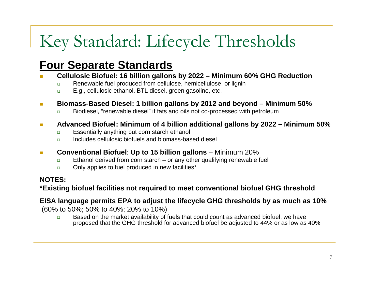# Key Standard: Lifecycle Thresholds

### **Four Separate Standards**

- П **Cellulosic Biofuel: 16 billion gallons by 2022 – Minimum 60% GHG Reduction**
	- $\Box$ Renewable fuel produced from cellulose, hemicellulose, or lignin
	- $\Box$ E.g., cellulosic ethanol, BTL diesel, green gasoline, etc.
- **Ta Biomass-Based Diesel: 1 billion gallons by 2012 and beyond – Minimum 50%**
	- $\Box$ Biodiesel, "renewable diesel" if fats and oils not co-processed with petroleum

#### $\mathcal{C}^{\mathcal{A}}$ **Advanced Biofuel: Minimum of 4 billion additional gallons by 2022 – Minimum 50%**

- $\Box$ Essentially anything but corn starch ethanol
- $\Box$ Includes cellulosic biofuels and biomass-based diesel
- $\mathcal{C}^{\mathcal{A}}$ **Conventional Biofuel: Up to 15 billion gallons** – Minimum 20%
	- $\Box$ Ethanol derived from corn starch – or any other qualifying renewable fuel
	- $\Box$ Only applies to fuel produced in new facilities\*

### **NOTES:**

**\*Existing biofuel facilities not required to meet conventional biofuel GHG threshold**

### **EISA language permits EPA to adjust the lifecycle GHG thresholds by as much as 10%**

(60% to 50%; 50% to 40%; 20% to 10%)

 $\Box$  Based on the market availability of fuels that could count as advanced biofuel, we have proposed that the GHG threshold for advanced biofuel be adjusted to 44% or as low as 40%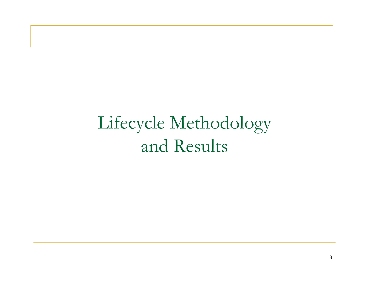Lifecycle Methodology and Results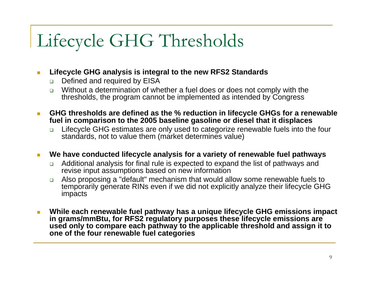# Lifecycle GHG Thresholds

#### $\mathbb{R}^n$ **Lifecycle GHG analysis is integral to the new RFS2 Standards**

- ❏ Defined and required by EISA
- □ Without a determination of whether a fuel does or does not comply with the thresholds, the program cannot be implemented as intended by Congress
- **GHG thresholds are defined as the % reduction in lifecycle GHGs for a renewable fuel in comparison to the 2005 baseline gasoline or diesel that it displaces** П
	- $\Box$  Lifecycle GHG estimates are only used to categorize renewable fuels into the four standards, not to value them (market determines value)

#### **We have conducted lifecycle analysis for a variety of renewable fuel pathways** m.

- $\Box$  Additional analysis for final rule is expected to expand the list of pathways and revise input assumptions based on new information
- $\Box$  Also proposing a "default" mechanism that would allow some renewable fuels to temporarily generate RINs even if we did not explicitly analyze their lifecycle GHG impacts
- **While each renewable fuel pathway has a unique lifecycle GHG emissions impact in grams/mmBtu, for RFS2 regulatory purposes these lifecycle emissions are used only to compare each pathway to the applicable threshold and assign it to one of the four renewable fuel categories**  $\mathcal{C}_{\mathcal{A}}$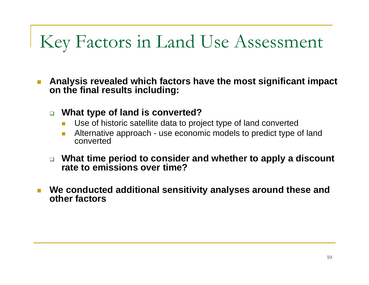# Key Factors in Land Use Assessment

**The State Analysis revealed which factors have the most significant impact on the final results including:**

- **What type of land is converted?**
	- Use of historic satellite data to project type of land converted
	- Π Alternative approach - use economic models to predict type of land converted
- **What time period to consider and whether to apply a discount rate to emissions over time?**
- **We conducted additional sensitivity analyses around these and other factors**П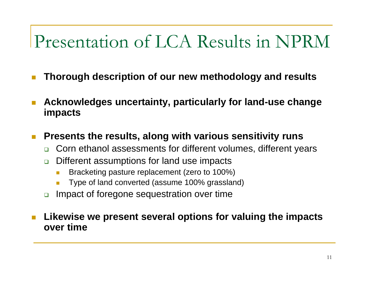## Presentation of LCA Results in NPRM

- П **Thorough description of our new methodology and results**
- **Acknowledges uncertainty, particularly for land-use change impacts** П
- **Presents the results, along with various sensitivity runs**  $\mathcal{C}^{\mathcal{A}}$ 
	- $\Box$ Corn ethanol assessments for different volumes, different years
	- $\Box$  Different assumptions for land use impacts
		- L. Bracketing pasture replacement (zero to 100%)
		- L. Type of land converted (assume 100% grassland)
	- $\Box$ Impact of foregone sequestration over time

### **Likewise we present several options for valuing the impacts over time**П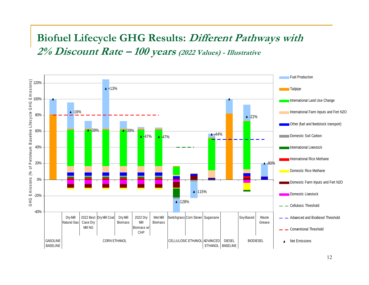### **Biofuel Lifecycle GHG Results: Different Pathways with 2% Discount Rate – 100 years (2022 Values) - Illustrative**

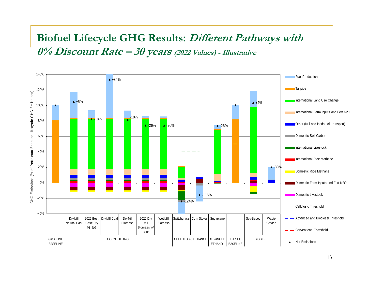### **Biofuel Lifecycle GHG Results: Different Pathways with 0% Discount Rate – 30 years (2022 Values) - Illustrative**

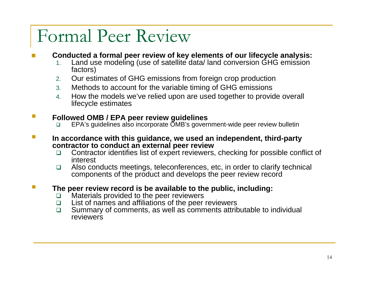## Formal Peer Review

#### × **Conducted a formal peer review of key elements of our lifecycle analysis:**

- 1. Land use modeling (use of satellite data/ land conversion GHG emission factors)
- 2. Our estimates of GHG emissions from foreign crop production
- 3. Methods to account for the variable timing of GHG emissions
- 4. How the models we've relied upon are used together to provide overall lifecycle estimates

#### **Followed OMB / EPA peer review guidelines**   $\mathcal{L}^{\mathcal{A}}$

- EPA's guidelines also incorporate OMB's government-wide peer review bulletin
- **In accordance with this guidance, we used an independent, third-party contractor to conduct an external peer review**  $\mathcal{L}^{\mathcal{A}}$ 
	- $\Box$  Contractor identifies list of expert reviewers, checking for possible conflict of interest
	- $\Box$  Also conducts meetings, teleconferences, etc, in order to clarify technical components of the product and develops the peer review record

### **The peer review record is be available to the public, including:**

- $\Box$ Materials provided to the peer reviewers
- $\Box$ List of names and affiliations of the peer reviewers
- $\Box$  Summary of comments, as well as comments attributable to individual reviewers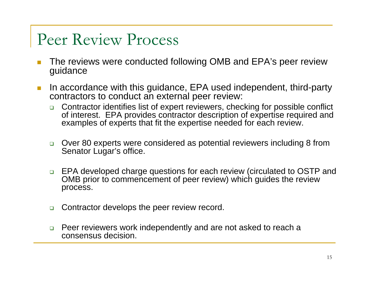## Peer Review Process

- × The reviews were conducted following OMB and EPA's peer review guidance
- In accordance with this guidance, EPA used independent, third-party contractors to conduct an external peer review: **I** 
	- $\Box$  Contractor identifies list of expert reviewers, checking for possible conflict of interest. EPA provides contractor description of expertise required and examples of experts that fit the expertise needed for each review.
	- □ Over 80 experts were considered as potential reviewers including 8 from Senator Lugar's office.
	- □ EPA developed charge questions for each review (circulated to OSTP and OMB prior to commencement of peer review) which guides the review process.
	- $\Box$ Contractor develops the peer review record.
	- $\Box$  Peer reviewers work independently and are not asked to reach a consensus decision.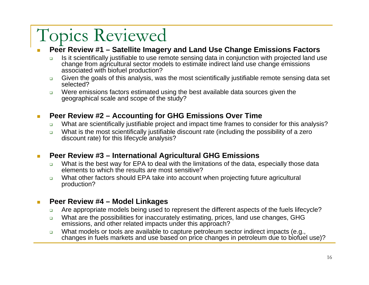## Topics Reviewed

#### П **Peer Review #1 – Satellite Imagery and Land Use Change Emissions Factors**

- $\Box$  Is it scientifically justifiable to use remote sensing data in conjunction with projected land use change from agricultural sector models to estimate indirect land use change emissions associated with biofuel production?
- $\Box$  Given the goals of this analysis, was the most scientifically justifiable remote sensing data set selected?
- $\Box$  Were emissions factors estimated using the best available data sources given the geographical scale and scope of the study?

#### **Peer Review #2 – Accounting for GHG Emissions Over Time** m.

- $\Box$ What are scientifically justifiable project and impact time frames to consider for this analysis?
- $\Box$ What is the most scientifically justifiable discount rate (including the possibility of a zero discount rate) for this lifecycle analysis?

### **Peer Review #3 – International Agricultural GHG Emissions I**

- $\Box$  What is the best way for EPA to deal with the limitations of the data, especially those data elements to which the results are most sensitive?
- $\Box$  What other factors should EPA take into account when projecting future agricultural production?

#### **Peer Review #4 – Model Linkages** m.

- $\Box$ Are appropriate models being used to represent the different aspects of the fuels lifecycle?
- $\Box$  What are the possibilities for inaccurately estimating, prices, land use changes, GHG emissions, and other related impacts under this approach?
- $\Box$  What models or tools are available to capture petroleum sector indirect impacts (e.g., changes in fuels markets and use based on price changes in petroleum due to biofuel use)?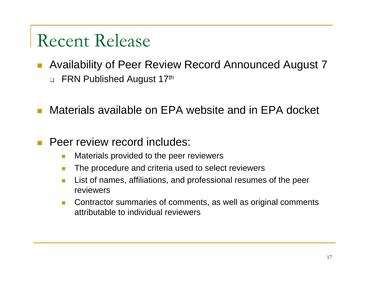## Recent Release

- Availability of Peer Review Record Announced August 7  $\Box$ FRN Published August 17th
- Materials available on EPA website and in EPA docket L.
- Peer review record includes: L.
	- ria<br>Ma Materials provided to the peer reviewers
	- The procedure and criteria used to select reviewers
	- Π List of names, affiliations, and professional resumes of the peer reviewers
	- $\mathcal{L}^{\mathcal{L}}$  Contractor summaries of comments, as well as original comments attributable to individual reviewers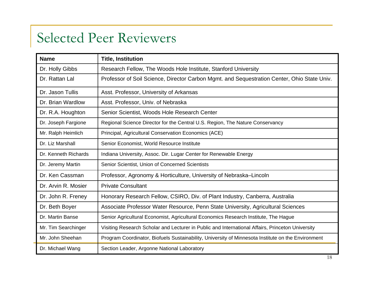## Selected Peer Reviewers

| <b>Name</b>          | <b>Title, Institution</b>                                                                          |  |  |  |  |
|----------------------|----------------------------------------------------------------------------------------------------|--|--|--|--|
| Dr. Holly Gibbs      | Research Fellow, The Woods Hole Institute, Stanford University                                     |  |  |  |  |
| Dr. Rattan Lal       | Professor of Soil Science, Director Carbon Mgmt. and Sequestration Center, Ohio State Univ.        |  |  |  |  |
| Dr. Jason Tullis     | Asst. Professor, University of Arkansas                                                            |  |  |  |  |
| Dr. Brian Wardlow    | Asst. Professor, Univ. of Nebraska                                                                 |  |  |  |  |
| Dr. R.A. Houghton    | Senior Scientist, Woods Hole Research Center                                                       |  |  |  |  |
| Dr. Joseph Fargione  | Regional Science Director for the Central U.S. Region, The Nature Conservancy                      |  |  |  |  |
| Mr. Ralph Heimlich   | Principal, Agricultural Conservation Economics (ACE)                                               |  |  |  |  |
| Dr. Liz Marshall     | Senior Economist, World Resource Institute                                                         |  |  |  |  |
| Dr. Kenneth Richards | Indiana University, Assoc. Dir. Lugar Center for Renewable Energy                                  |  |  |  |  |
| Dr. Jeremy Martin    | Senior Scientist, Union of Concerned Scientists                                                    |  |  |  |  |
| Dr. Ken Cassman      | Professor, Agronomy & Horticulture, University of Nebraska–Lincoln                                 |  |  |  |  |
| Dr. Arvin R. Mosier  | <b>Private Consultant</b>                                                                          |  |  |  |  |
| Dr. John R. Freney   | Honorary Research Fellow, CSIRO, Div. of Plant Industry, Canberra, Australia                       |  |  |  |  |
| Dr. Beth Boyer       | Associate Professor Water Resource, Penn State University, Agricultural Sciences                   |  |  |  |  |
| Dr. Martin Banse     | Senior Agricultural Economist, Agricultural Economics Research Institute, The Hague                |  |  |  |  |
| Mr. Tim Searchinger  | Visiting Research Scholar and Lecturer in Public and International Affairs, Princeton University   |  |  |  |  |
| Mr. John Sheehan     | Program Coordinator, Biofuels Sustainability, University of Minnesota Institute on the Environment |  |  |  |  |
| Dr. Michael Wang     | Section Leader, Argonne National Laboratory                                                        |  |  |  |  |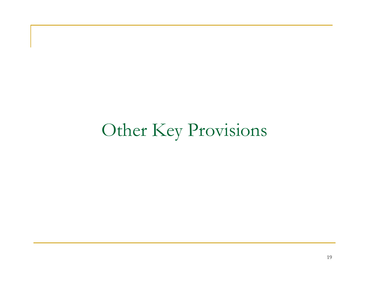## Other Key Provisions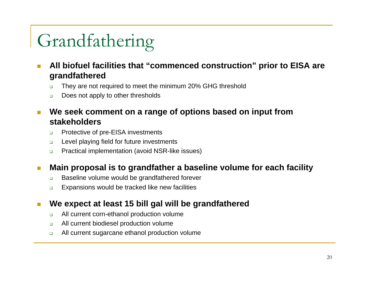# Grandfathering

- **All biofuel facilities that "commenced construction" prior to EISA ar e grandfathered**
	- $\Box$ They are not required to meet the minimum 20% GHG threshold
	- $\Box$ Does not apply to other thresholds
- **We seek comment on a range of options based on input from stakeholders**T.
	- $\Box$ Protective of pre-EISA investments
	- $\Box$ Level playing field for future investments
	- $\Box$ Practical implementation (avoid NSR-like issues)

### **Main proposal is to grandfather a baseline volume for each facility**  $\mathcal{C}^{\mathcal{A}}$

- $\Box$ Baseline volume would be grandfathered forever
- $\Box$ Expansions would be tracked like new facilities

### **We expect at least 15 bill gal will be grandfathered** T.

- $\Box$ All current corn-ethanol production volume
- $\Box$ All current biodiesel production volume
- $\Box$ All current sugarcane ethanol production volume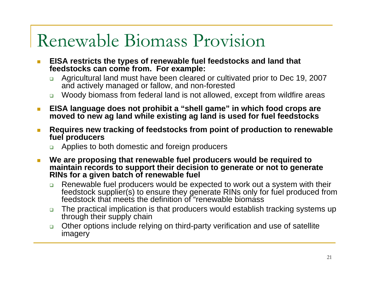## Renewable Biomass Provision

- $\overline{\phantom{a}}$  **EISA restricts the types of renewable fuel feedstocks and land that feedstocks can come from. For example:**
	- $\Box$  Agricultural land must have been cleared or cultivated prior to Dec 19, 2007 and actively managed or fallow, and non-forested
	- Woody biomass from federal land is not allowed, except from wildfire areas
- **EISA language does not prohibit a "shell game" in which food crops are moved to new ag land while existing ag land is used for fuel feedstocks**  $\mathcal{L}^{\mathcal{L}}$
- **Requires new tracking of feedstocks from point of production to renewable fuel producers**   $\mathbb{R}^3$ 
	- ❏ Applies to both domestic and foreign producers
- **We are proposing that renewable fuel producers would be required to maintain records to support their decision to generate or not to generate RINs for a given batch of renewable fuel**  $\mathbb{R}^3$ 
	- $\Box$  Renewable fuel producers would be expected to work out a system with their feedstock supplier(s) to ensure they generate RINs only for fuel produced from feedstock that meets the definition of "renewable biomass
	- $\Box$  The practical implication is that producers would establish tracking systems up through their supply chain
	- $\Box$  Other options include relying on third-party verification and use of satellite imagery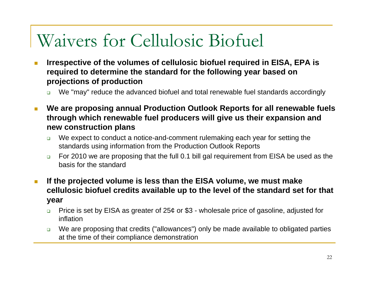## Waivers for Cellulosic Biofuel

- T. **Irrespective of the volumes of cellulosic biofuel required in EISA, EPA is required to determine the standard for the following year based on projections of production**
	- $\Box$ We "may" reduce the advanced biofuel and total renewable fuel standards accordingly
- **We are proposing annual Production Outlook Reports for all renewable fuels through which renewable fuel producers will give us their expansion and new construction plans**
	- $\Box$  We expect to conduct a notice-and-comment rulemaking each year for setting the standards using information from the Production Outlook Reports
	- $\Box$  For 2010 we are proposing that the full 0.1 bill gal requirement from EISA be used as the basis for the standard
- **If the projected volume is less than the EISA volume, we must make cellulosic biofuel credits available up to the level of the standard set for that year**  $\mathbb{R}^3$ 
	- $\Box$  Price is set by EISA as greater of 25¢ or \$3 - wholesale price of gasoline, adjusted for inflation
	- $\Box$  We are proposing that credits ("allowances") only be made available to obligated parties at the time of their compliance demonstration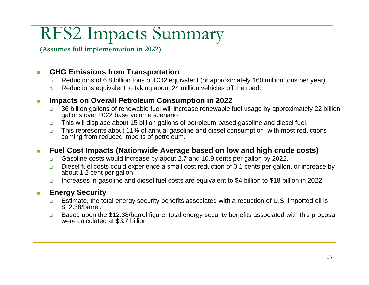## RFS2 Impacts Summary

**(Assumes full implementation in 2022)**

### $\mathbb{R}^n$ **GHG Emissions from Transportation**

- $\Box$ Reductions of 6.8 billion tons of CO2 equivalent (or approximately 160 million tons per year)
- $\Box$ Reductions equivalent to taking about 24 million vehicles off the road.

### **Impacts on Overall Petroleum Consumption in 2022** m.

- $\Box$  36 billion gallons of renewable fuel will increase renewable fuel usage by approximately 22 billion gallons over 2022 base volume scenario
- $\Box$ This will displace about 15 billion gallons of petroleum-based gasoline and diesel fuel.
- $\Box$  This represents about 11% of annual gasoline and diesel consumption with most reductions coming from reduced imports of petroleum.

### **Fuel Cost Impacts (Nationwide Average based on low and high crude costs)** m.

- $\Box$ Gasoline costs would increase by about 2.7 and 10.9 cents per gallon by 2022.
- $\Box$  Diesel fuel costs could experience a small cost reduction of 0.1 cents per gallon, or increase by about 1.2 cent per gallon
- $\Box$ Increases in gasoline and diesel fuel costs are equivalent to \$4 billion to \$18 billion in 2022

### **Energy Security I**

- $\Box$ Estimate, the total energy security benefits associated with a reduction of U.S. imported oil is \$12.38/barrel.
- $\Box$ Based upon the \$12.38/barrel figure, total energy security benefits associated with this proposal were calculated at \$3.7 billion